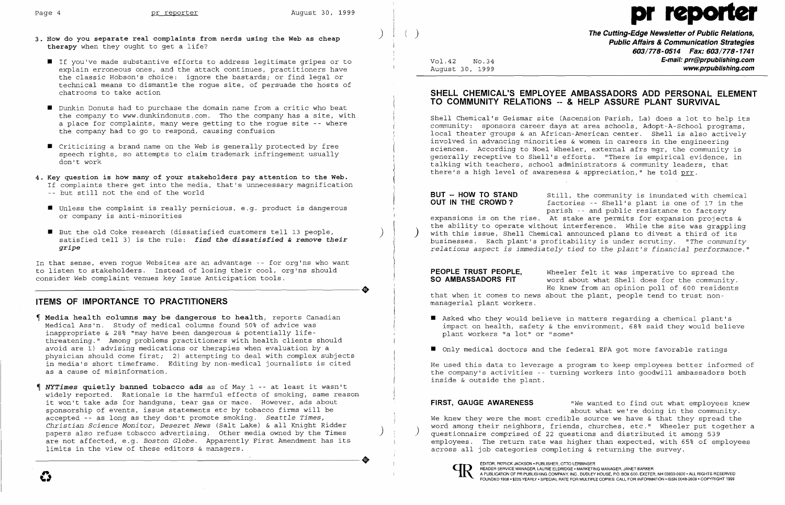- ) 3. How do you separate real complaints from nerds using the Web as cheap therapy when they ought to get a life?
	- If you've made substantive efforts to address legitimate gripes or to explain erroneous ones, and the attack continues, practitioners have the classic Hobson's choice: ignore the bastards; or find legal or technical means to dismantle the rogue site, of persuade the hosts of chatrooms to take action
	- **•** Dunkin Donuts had to purchase the domain name from a critic who beat the company to www.dunkindonuts.com. Tho the company has a site, with a place for complaints, many were getting to the rogue site -- where the company had to go to respond, causing confusion Ï
	- $\blacksquare$  Criticizing a brand name on the Web is generally protected by free speech rights, so attempts to claim trademark infringement usually don't work
- 4. Key question is how many of your stakeholders pay attention to the Web. If complaints there get into the media, that's unnecessary magnification -- but still not the end of the world
	- $\blacksquare$  Unless the complaint is really pernicious, e.g. product is dangerous or company is anti-minorities
	- But the old Coke research (dissatisfied customers tell 13 people,<br>satisfied tell 3) is the rule: *find the dissatisfied & remove their gripe*

In that sense, even rogue Websites are an advantage -- for org'ns who want to listen to stakeholders. Instead of losing their cool, org'ns should<br>consider Web complaint venues key Issue Anticipation tools. consider Web complaint venues key Issue Anticipation tools.

## **ITEMS OF IMPORTANCE TO PRACTITIONERS**

**BUT -- HOW TO STAND** Still, the community is inundated with chemical **OUT IN THE CROWD?** factories -- Shell's plant is one of 17 in the factories -- Shell's plant is one of 17 in the parish -- and public resistance to factory expansions is on the rise. At stake are permits for expansion projects & the ability to operate without interference. While the site was grappling with this issue, Shell Chemical announced plans to divest a third of its businesses. Each plant's profitability is under scrutiny. *"The community relations aspect is immediately tied* to *the plant's financial performance."* 

- Media health columns may be dangerous to health, reports Canadian Medical Ass'n. Study of medical columns found 50% of advice was inappropriate & 28% "may have been dangerous & potentially life threatening." Among problems practitioners with health clients should avoid are 1) advising medications or therapies when evaluation by a physician should come first; 2) attempting to deal with complex subjects in media's short timeframe. Editing by non-medical journalists is cited as a cause of misinformation.
- *NYTimes* quietly banned tobacco ads as of May 1 -- at least it wasn't widely reported. Rationale is the harmful effects of smoking, same reason it won't take ads for handguns, tear gas or mace. However, ads about sponsorship of events, issue statements etc by tobacco firms will be accepted -- as long as they don't promote smoking. *Seattle Times, Christian Science Monitor, Deseret* News (Salt Lake) & all Knight Ridder papers also refuse tobacco advertising. Other media owned by the Times are not affected, e.g. *Boston Globe.* Apparently First Amendment has its ----------------------+ EDITOR, PATRICKJACKSON. PUBLISHER, orro LERBINGER limits in the view of these editors & managers.

**PEOPLE TRUST PEOPLE,** Wheeler felt it was imperative to spread the **SO AMBASSADORS FIT** word about what Shell does for the community. word about what Shell does for the community. He knew from an opinion poll of 600 residents that when it comes to news about the plant, people tend to trust non-

**E** Asked who they would believe in matters regarding a chemical plant's impact on health, safety & the environment, 68% said they would believe

- plant workers "a lot" or "some"
- **•** Only medical doctors and the federal EPA got more favorable ratings

) **The Cutting-Edge Newsletter of Public Relations, Public Affairs & Communication Strategies 603/778-0514 Fax: 603/778-1741**  Vol. 42 No. 34 **E-mail: prr@prpublishing.com** 

August 30, 1999 **www.prpublishing.com** 

## **SHELL CHEMICAL'S EMPLOYEE AMBASSADORS ADD PERSONAL ELEMENT TO COMMUNITY RELATIONS -- & HELP ASSURE PLANT SURVIVAL**

Shell Chemical's Geismar site (Ascension Parish, La) does a lot to help its community: sponsors career days at area schools, Adopt-A-School programs, local theater groups & an African-American center. Shell is also actively involved in advancing minorities & women in careers in the engineering sciences. According to Noel Wheeler, external afrs mgr, the community is generally receptive to Shell's efforts. "There is empirical evidence, in talking with teachers, school administrators & community leaders, that there's a high level of awareness & appreciation," he told prr.

managerial plant workers.

He used this data to leverage a program to keep employees better informed of the company's activities -- turning workers into goodwill ambassadors both inside & outside the plant.

about what we're doing in the community.

**FIRST, GAUGE AWARENESS** "We wanted to find out what employees knew We knew they were the most credible source we have & that they spread the word among their neighbors, friends, churches, etc." Wheeler put together a questionnaire comprised of 22 questions and distributed it among 539 employees. The return rate was higher than expected, with 65% of employees across all job categories completing & returning the survey.



READER SERVICE MANAGER, LAURIE ELDRIDGE· MARKETING MANAGER, JANET BARKER

# Page 4 pr reporter august 30, 1999

FOUNDED 1958 + \$225 YEARLY + SPECIAL ARTE FOR MULTIPLE COMPANY, INC., DUDLEY HOUSE, P.O. BOX 600, EXETER, NH 03833-0600 - ALL RIGHTS RESERVED FOUNDED 1958 + \$225 YEARLY + SPECIAL FOR MULTIPLE COPIES: CALL FOR INFORMATION -